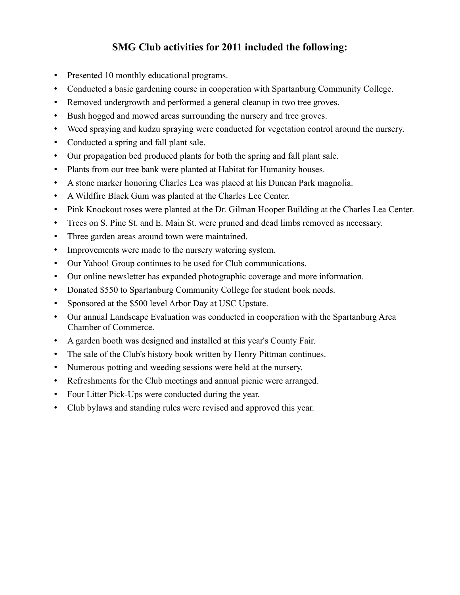# **SMG Club activities for 2011 included the following:**

- Presented 10 monthly educational programs.
- Conducted a basic gardening course in cooperation with Spartanburg Community College.
- Removed undergrowth and performed a general cleanup in two tree groves.
- Bush hogged and mowed areas surrounding the nursery and tree groves.
- Weed spraying and kudzu spraying were conducted for vegetation control around the nursery.
- Conducted a spring and fall plant sale.
- Our propagation bed produced plants for both the spring and fall plant sale.
- Plants from our tree bank were planted at Habitat for Humanity houses.
- A stone marker honoring Charles Lea was placed at his Duncan Park magnolia.
- A Wildfire Black Gum was planted at the Charles Lee Center.
- Pink Knockout roses were planted at the Dr. Gilman Hooper Building at the Charles Lea Center.
- Trees on S. Pine St. and E. Main St. were pruned and dead limbs removed as necessary.
- Three garden areas around town were maintained.
- Improvements were made to the nursery watering system.
- Our Yahoo! Group continues to be used for Club communications.
- Our online newsletter has expanded photographic coverage and more information.
- Donated \$550 to Spartanburg Community College for student book needs.
- Sponsored at the \$500 level Arbor Day at USC Upstate.
- Our annual Landscape Evaluation was conducted in cooperation with the Spartanburg Area Chamber of Commerce.
- A garden booth was designed and installed at this year's County Fair.
- The sale of the Club's history book written by Henry Pittman continues.
- Numerous potting and weeding sessions were held at the nursery.
- Refreshments for the Club meetings and annual picnic were arranged.
- Four Litter Pick-Ups were conducted during the year.
- Club bylaws and standing rules were revised and approved this year.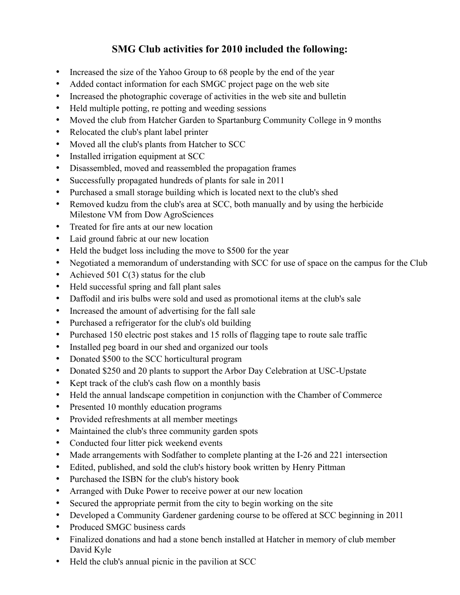# **SMG Club activities for 2010 included the following:**

- Increased the size of the Yahoo Group to 68 people by the end of the year
- Added contact information for each SMGC project page on the web site
- Increased the photographic coverage of activities in the web site and bulletin
- Held multiple potting, repotting and weeding sessions
- Moved the club from Hatcher Garden to Spartanburg Community College in 9 months
- Relocated the club's plant label printer
- Moved all the club's plants from Hatcher to SCC
- Installed irrigation equipment at SCC
- Disassembled, moved and reassembled the propagation frames
- Successfully propagated hundreds of plants for sale in 2011
- Purchased a small storage building which is located next to the club's shed
- Removed kudzu from the club's area at SCC, both manually and by using the herbicide Milestone VM from Dow AgroSciences
- Treated for fire ants at our new location
- Laid ground fabric at our new location
- Held the budget loss including the move to \$500 for the year
- Negotiated a memorandum of understanding with SCC for use of space on the campus for the Club
- Achieved 501 C(3) status for the club
- Held successful spring and fall plant sales
- Daffodil and iris bulbs were sold and used as promotional items at the club's sale
- Increased the amount of advertising for the fall sale
- Purchased a refrigerator for the club's old building
- Purchased 150 electric post stakes and 15 rolls of flagging tape to route sale traffic
- Installed peg board in our shed and organized our tools
- Donated \$500 to the SCC horticultural program
- Donated \$250 and 20 plants to support the Arbor Day Celebration at USC-Upstate
- Kept track of the club's cash flow on a monthly basis
- Held the annual landscape competition in conjunction with the Chamber of Commerce
- Presented 10 monthly education programs
- Provided refreshments at all member meetings
- Maintained the club's three community garden spots
- Conducted four litter pick weekend events
- Made arrangements with Sodfather to complete planting at the I-26 and 221 intersection
- Edited, published, and sold the club's history book written by Henry Pittman
- Purchased the ISBN for the club's history book
- Arranged with Duke Power to receive power at our new location
- Secured the appropriate permit from the city to begin working on the site
- Developed a Community Gardener gardening course to be offered at SCC beginning in 2011
- Produced SMGC business cards
- Finalized donations and had a stone bench installed at Hatcher in memory of club member David Kyle
- Held the club's annual picnic in the pavilion at SCC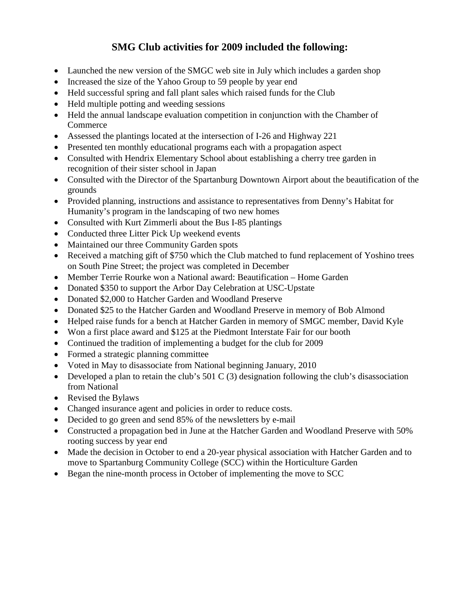# **SMG Club activities for 2009 included the following:**

- Launched the new version of the SMGC web site in July which includes a garden shop
- Increased the size of the Yahoo Group to 59 people by year end
- Held successful spring and fall plant sales which raised funds for the Club
- Held multiple potting and weeding sessions
- Held the annual landscape evaluation competition in conjunction with the Chamber of **Commerce**
- Assessed the plantings located at the intersection of I-26 and Highway 221
- Presented ten monthly educational programs each with a propagation aspect
- Consulted with Hendrix Elementary School about establishing a cherry tree garden in recognition of their sister school in Japan
- Consulted with the Director of the Spartanburg Downtown Airport about the beautification of the grounds
- Provided planning, instructions and assistance to representatives from Denny's Habitat for Humanity's program in the landscaping of two new homes
- Consulted with Kurt Zimmerli about the Bus I-85 plantings
- Conducted three Litter Pick Up weekend events
- Maintained our three Community Garden spots
- Received a matching gift of \$750 which the Club matched to fund replacement of Yoshino trees on South Pine Street; the project was completed in December
- Member Terrie Rourke won a National award: Beautification Home Garden
- Donated \$350 to support the Arbor Day Celebration at USC-Upstate
- Donated \$2,000 to Hatcher Garden and Woodland Preserve
- Donated \$25 to the Hatcher Garden and Woodland Preserve in memory of Bob Almond
- Helped raise funds for a bench at Hatcher Garden in memory of SMGC member, David Kyle
- Won a first place award and \$125 at the Piedmont Interstate Fair for our booth
- Continued the tradition of implementing a budget for the club for 2009
- Formed a strategic planning committee
- Voted in May to disassociate from National beginning January, 2010
- Developed a plan to retain the club's 501 C (3) designation following the club's disassociation from National
- Revised the Bylaws
- Changed insurance agent and policies in order to reduce costs.
- Decided to go green and send 85% of the newsletters by e-mail
- Constructed a propagation bed in June at the Hatcher Garden and Woodland Preserve with 50% rooting success by year end
- Made the decision in October to end a 20-year physical association with Hatcher Garden and to move to Spartanburg Community College (SCC) within the Horticulture Garden
- Began the nine-month process in October of implementing the move to SCC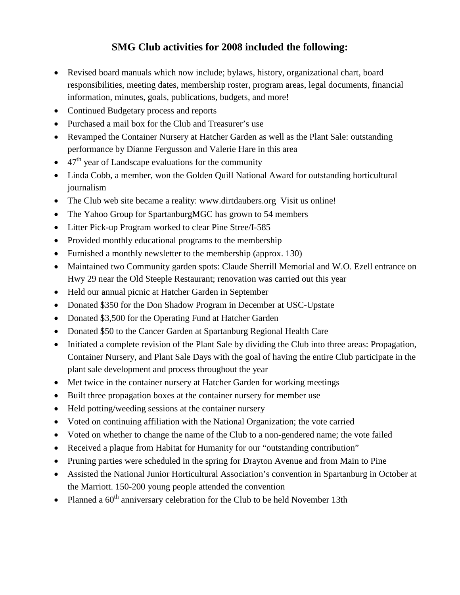### **SMG Club activities for 2008 included the following:**

- Revised board manuals which now include; bylaws, history, organizational chart, board responsibilities, meeting dates, membership roster, program areas, legal documents, financial information, minutes, goals, publications, budgets, and more!
- Continued Budgetary process and reports
- Purchased a mail box for the Club and Treasurer's use
- Revamped the Container Nursery at Hatcher Garden as well as the Plant Sale: outstanding performance by Dianne Fergusson and Valerie Hare in this area
- $47<sup>th</sup>$  year of Landscape evaluations for the community
- Linda Cobb, a member, won the Golden Quill National Award for outstanding horticultural journalism
- The Club web site became a reality: www.dirtdaubers.org Visit us online!
- The Yahoo Group for SpartanburgMGC has grown to 54 members
- Litter Pick-up Program worked to clear Pine Stree/I-585
- Provided monthly educational programs to the membership
- Furnished a monthly newsletter to the membership (approx. 130)
- Maintained two Community garden spots: Claude Sherrill Memorial and W.O. Ezell entrance on Hwy 29 near the Old Steeple Restaurant; renovation was carried out this year
- Held our annual picnic at Hatcher Garden in September
- Donated \$350 for the Don Shadow Program in December at USC-Upstate
- Donated \$3,500 for the Operating Fund at Hatcher Garden
- Donated \$50 to the Cancer Garden at Spartanburg Regional Health Care
- Initiated a complete revision of the Plant Sale by dividing the Club into three areas: Propagation, Container Nursery, and Plant Sale Days with the goal of having the entire Club participate in the plant sale development and process throughout the year
- Met twice in the container nursery at Hatcher Garden for working meetings
- Built three propagation boxes at the container nursery for member use
- Held potting/weeding sessions at the container nursery
- Voted on continuing affiliation with the National Organization; the vote carried
- Voted on whether to change the name of the Club to a non-gendered name; the vote failed
- Received a plaque from Habitat for Humanity for our "outstanding contribution"
- Pruning parties were scheduled in the spring for Drayton Avenue and from Main to Pine
- Assisted the National Junior Horticultural Association's convention in Spartanburg in October at the Marriott. 150-200 young people attended the convention
- Planned a  $60^{\text{th}}$  anniversary celebration for the Club to be held November 13th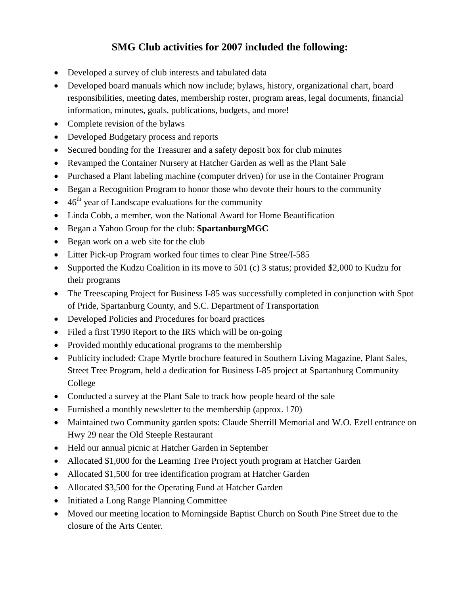# **SMG Club activities for 2007 included the following:**

- Developed a survey of club interests and tabulated data
- Developed board manuals which now include; bylaws, history, organizational chart, board responsibilities, meeting dates, membership roster, program areas, legal documents, financial information, minutes, goals, publications, budgets, and more!
- Complete revision of the bylaws
- Developed Budgetary process and reports
- Secured bonding for the Treasurer and a safety deposit box for club minutes
- Revamped the Container Nursery at Hatcher Garden as well as the Plant Sale
- Purchased a Plant labeling machine (computer driven) for use in the Container Program
- Began a Recognition Program to honor those who devote their hours to the community
- $\bullet$  46<sup>th</sup> year of Landscape evaluations for the community
- Linda Cobb, a member, won the National Award for Home Beautification
- Began a Yahoo Group for the club: **SpartanburgMGC**
- Began work on a web site for the club
- Litter Pick-up Program worked four times to clear Pine Stree/I-585
- Supported the Kudzu Coalition in its move to 501 (c) 3 status; provided \$2,000 to Kudzu for their programs
- The Treescaping Project for Business I-85 was successfully completed in conjunction with Spot of Pride, Spartanburg County, and S.C. Department of Transportation
- Developed Policies and Procedures for board practices
- Filed a first T990 Report to the IRS which will be on-going
- Provided monthly educational programs to the membership
- Publicity included: Crape Myrtle brochure featured in Southern Living Magazine, Plant Sales, Street Tree Program, held a dedication for Business I-85 project at Spartanburg Community College
- Conducted a survey at the Plant Sale to track how people heard of the sale
- Furnished a monthly newsletter to the membership (approx. 170)
- Maintained two Community garden spots: Claude Sherrill Memorial and W.O. Ezell entrance on Hwy 29 near the Old Steeple Restaurant
- Held our annual picnic at Hatcher Garden in September
- Allocated \$1,000 for the Learning Tree Project youth program at Hatcher Garden
- Allocated \$1,500 for tree identification program at Hatcher Garden
- Allocated \$3,500 for the Operating Fund at Hatcher Garden
- Initiated a Long Range Planning Committee
- Moved our meeting location to Morningside Baptist Church on South Pine Street due to the closure of the Arts Center.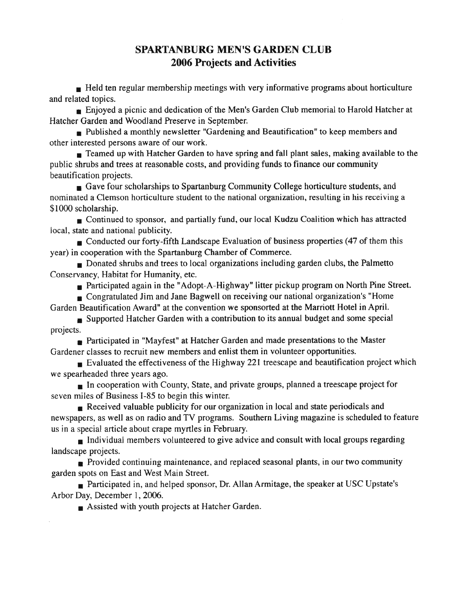#### **SPARTANBURG MEN'S GARDEN CLUB 2006 Projects and Activities**

 $\blacksquare$  Held ten regular membership meetings with very informative programs about horticulture and related topics.

Enjoyed a picnic and dedication of the Men's Garden Club memorial to Harold Hatcher at Hatcher Garden and Woodland Preserve in September.

Published a monthly newsletter "Gardening and Beautification" to keep members and other interested persons aware of our work.

Teamed up with Hatcher Garden to have spring and fall plant sales, making available to the public shrubs and trees at reasonable costs, and providing funds to finance our community beautification projects.

Gave four scholarships to Spartanburg Community College horticulture students, and nominated a Clemson horticulture student to the national organization, resulting in his receiving a \$1000 scholarship.

Continued to sponsor, and partially fund, our local Kudzu Coalition which has attracted local, state and national publicity.

■ Conducted our forty-fifth Landscape Evaluation of business properties (47 of them this year) in cooperation with the Spartanburg Chamber of Commerce.

 $\blacksquare$  Donated shrubs and trees to local organizations including garden clubs, the Palmetto Conservancy, Habitat for Humanity, etc.

Participated again in the "Adopt-A-Highway" litter pickup program on North Pine Street.

• Congratulated Jim and Jane Bagwell on receiving our national organization's "Home Garden Beautification Award" at the convention we sponsorted at the Marriott Hotel in April.

Supported Hatcher Garden with a contribution to its annual budget and some special projects.

Participated in "Mayfest" at Hatcher Garden and made presentations to the Master Gardener classes to recruit new members and enlist them in volunteer opportunities.

Evaluated the effectiveness of the Highway 221 treescape and beautification project which we spearheaded three years ago.

 $\blacksquare$  In cooperation with County, State, and private groups, planned a treescape project for seven miles of Business I-85 to begin this winter.

Received valuable publicity for our organization in local and state periodicals and newspapers, as well as on radio and TV programs. Southern Living magazine is scheduled to feature us in a special article about crape myrtles in February.

Individual members volunteered to give advice and consult with local groups regarding landscape projects.

Provided continuing maintenance, and replaced seasonal plants, in our two community garden spots on East and West Main Street.

Participated in, and helped sponsor, Dr. Allan Armitage, the speaker at USC Upstate's Arbor Day, December 1, 2006.

 $\blacksquare$  Assisted with youth projects at Hatcher Garden.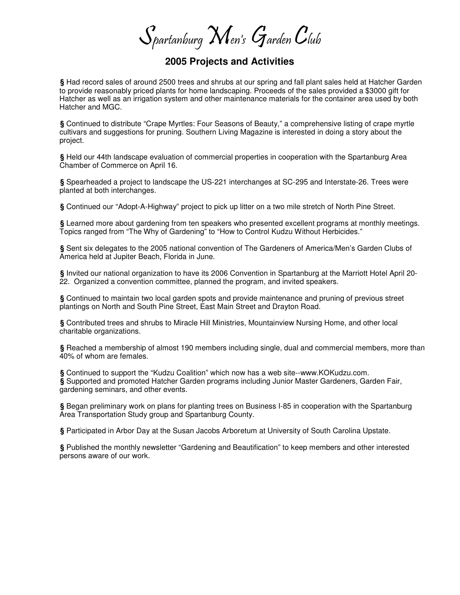$\mathcal S$ partanburg  $\mathcal M$ en's  $\mathcal G$ arden  $\mathcal C$ lub

#### **2005 Projects and Activities**

**§** Had record sales of around 2500 trees and shrubs at our spring and fall plant sales held at Hatcher Garden to provide reasonably priced plants for home landscaping. Proceeds of the sales provided a \$3000 gift for Hatcher as well as an irrigation system and other maintenance materials for the container area used by both Hatcher and MGC.

**§** Continued to distribute "Crape Myrtles: Four Seasons of Beauty," a comprehensive listing of crape myrtle cultivars and suggestions for pruning. Southern Living Magazine is interested in doing a story about the project.

**§** Held our 44th landscape evaluation of commercial properties in cooperation with the Spartanburg Area Chamber of Commerce on April 16.

**§** Spearheaded a project to landscape the US-221 interchanges at SC-295 and Interstate-26. Trees were planted at both interchanges.

**§** Continued our "Adopt-A-Highway" project to pick up litter on a two mile stretch of North Pine Street.

**§** Learned more about gardening from ten speakers who presented excellent programs at monthly meetings. Topics ranged from "The Why of Gardening" to "How to Control Kudzu Without Herbicides."

**§** Sent six delegates to the 2005 national convention of The Gardeners of America/Men's Garden Clubs of America held at Jupiter Beach, Florida in June.

**§** Invited our national organization to have its 2006 Convention in Spartanburg at the Marriott Hotel April 20- 22. Organized a convention committee, planned the program, and invited speakers.

**§** Continued to maintain two local garden spots and provide maintenance and pruning of previous street plantings on North and South Pine Street, East Main Street and Drayton Road.

**§** Contributed trees and shrubs to Miracle Hill Ministries, Mountainview Nursing Home, and other local charitable organizations.

**§** Reached a membership of almost 190 members including single, dual and commercial members, more than 40% of whom are females.

**§** Continued to support the "Kudzu Coalition" which now has a web site--www.KOKudzu.com. **§** Supported and promoted Hatcher Garden programs including Junior Master Gardeners, Garden Fair, gardening seminars, and other events.

**§** Began preliminary work on plans for planting trees on Business I-85 in cooperation with the Spartanburg Area Transportation Study group and Spartanburg County.

**§** Participated in Arbor Day at the Susan Jacobs Arboretum at University of South Carolina Upstate.

**§** Published the monthly newsletter "Gardening and Beautification" to keep members and other interested persons aware of our work.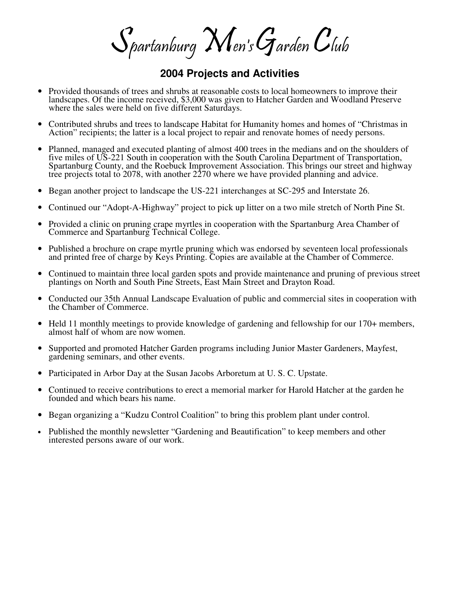$\mathcal S$ partanburg  $\mathcal M$ en's  $\mathcal G$ arden  $\mathcal C$ lub

#### **2004 Projects and Activities**

- Provided thousands of trees and shrubs at reasonable costs to local homeowners to improve their landscapes. Of the income received, \$3,000 was given to Hatcher Garden and Woodland Preserve where the sales were held on five different Saturdays.
- Contributed shrubs and trees to landscape Habitat for Humanity homes and homes of "Christmas in Action" recipients; the latter is a local project to repair and renovate homes of needy persons.
- Planned, managed and executed planting of almost 400 trees in the medians and on the shoulders of five miles of US-221 South in cooperation with the South Carolina Department of Transportation, Spartanburg County, and the Roebuck Improvement Association. This brings our street and highway tree projects total to 2078, with another 2270 where we have provided planning and advice.
- Began another project to landscape the US-221 interchanges at SC-295 and Interstate 26.
- Continued our "Adopt-A-Highway" project to pick up litter on a two mile stretch of North Pine St.
- Provided a clinic on pruning crape myrtles in cooperation with the Spartanburg Area Chamber of Commerce and Spartanburg Technical College.
- Published a brochure on crape myrtle pruning which was endorsed by seventeen local professionals and printed free of charge by Keys Printing. Copies are available at the Chamber of Commerce.
- Continued to maintain three local garden spots and provide maintenance and pruning of previous street plantings on North and South Pine Streets, East Main Street and Drayton Road.
- Conducted our 35th Annual Landscape Evaluation of public and commercial sites in cooperation with the Chamber of Commerce.
- Held 11 monthly meetings to provide knowledge of gardening and fellowship for our 170+ members, almost half of whom are now women.
- Supported and promoted Hatcher Garden programs including Junior Master Gardeners, Mayfest, gardening seminars, and other events.
- Participated in Arbor Day at the Susan Jacobs Arboretum at U. S. C. Upstate.
- Continued to receive contributions to erect a memorial marker for Harold Hatcher at the garden he founded and which bears his name.
- Began organizing a "Kudzu Control Coalition" to bring this problem plant under control.
- Published the monthly newsletter "Gardening and Beautification" to keep members and other interested persons aware of our work.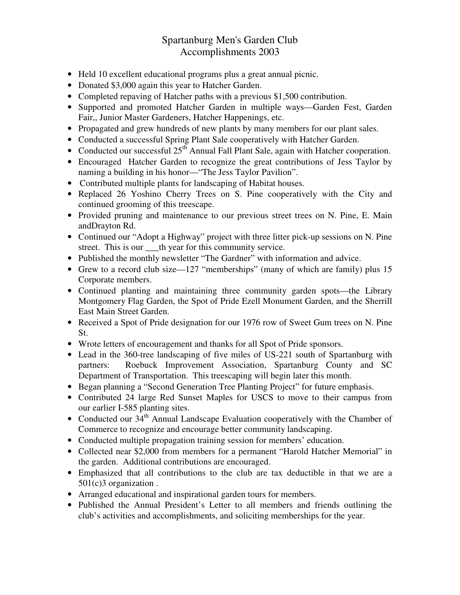#### Spartanburg Men's Garden Club Accomplishments 2003

- Held 10 excellent educational programs plus a great annual picnic.
- Donated \$3,000 again this year to Hatcher Garden.
- Completed repaving of Hatcher paths with a previous \$1,500 contribution.
- Supported and promoted Hatcher Garden in multiple ways—Garden Fest, Garden Fair,, Junior Master Gardeners, Hatcher Happenings, etc.
- Propagated and grew hundreds of new plants by many members for our plant sales.
- Conducted a successful Spring Plant Sale cooperatively with Hatcher Garden.
- Conducted our successful  $25<sup>th</sup>$  Annual Fall Plant Sale, again with Hatcher cooperation.
- Encouraged Hatcher Garden to recognize the great contributions of Jess Taylor by naming a building in his honor—"The Jess Taylor Pavilion".
- Contributed multiple plants for landscaping of Habitat houses.
- Replaced 26 Yoshino Cherry Trees on S. Pine cooperatively with the City and continued grooming of this treescape.
- Provided pruning and maintenance to our previous street trees on N. Pine, E. Main andDrayton Rd.
- Continued our "Adopt a Highway" project with three litter pick-up sessions on N. Pine street. This is our \_\_\_th year for this community service.
- Published the monthly newsletter "The Gardner" with information and advice.
- Grew to a record club size—127 "memberships" (many of which are family) plus 15 Corporate members.
- Continued planting and maintaining three community garden spots—the Library Montgomery Flag Garden, the Spot of Pride Ezell Monument Garden, and the Sherrill East Main Street Garden.
- Received a Spot of Pride designation for our 1976 row of Sweet Gum trees on N. Pine St.
- Wrote letters of encouragement and thanks for all Spot of Pride sponsors.
- Lead in the 360-tree landscaping of five miles of US-221 south of Spartanburg with partners: Roebuck Improvement Association, Spartanburg County and SC Department of Transportation. This treescaping will begin later this month.
- Began planning a "Second Generation Tree Planting Project" for future emphasis.
- Contributed 24 large Red Sunset Maples for USCS to move to their campus from our earlier I-585 planting sites.
- Conducted our  $34<sup>th</sup>$  Annual Landscape Evaluation cooperatively with the Chamber of Commerce to recognize and encourage better community landscaping.
- Conducted multiple propagation training session for members' education.
- Collected near \$2,000 from members for a permanent "Harold Hatcher Memorial" in the garden. Additional contributions are encouraged.
- Emphasized that all contributions to the club are tax deductible in that we are a 501(c)3 organization .
- Arranged educational and inspirational garden tours for members.
- Published the Annual President's Letter to all members and friends outlining the club's activities and accomplishments, and soliciting memberships for the year.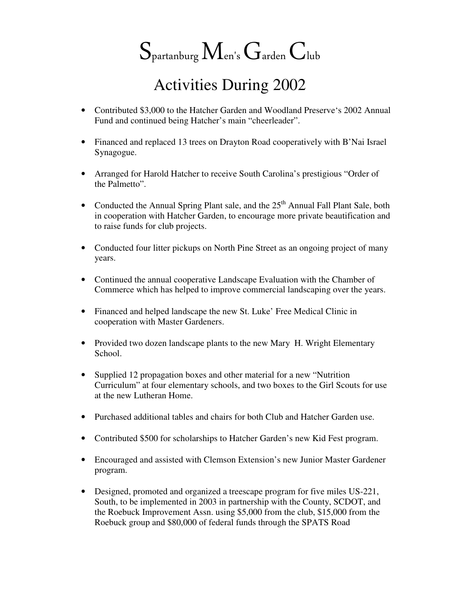# $S_{\text{partanburg}} M_{\text{en's}} G_{\text{arden}} C_{\text{lub}}$

# Activities During 2002

- Contributed \$3,000 to the Hatcher Garden and Woodland Preserve's 2002 Annual Fund and continued being Hatcher's main "cheerleader".
- Financed and replaced 13 trees on Drayton Road cooperatively with B'Nai Israel Synagogue.
- Arranged for Harold Hatcher to receive South Carolina's prestigious "Order of the Palmetto".
- Conducted the Annual Spring Plant sale, and the  $25<sup>th</sup>$  Annual Fall Plant Sale, both in cooperation with Hatcher Garden, to encourage more private beautification and to raise funds for club projects.
- Conducted four litter pickups on North Pine Street as an ongoing project of many years.
- Continued the annual cooperative Landscape Evaluation with the Chamber of Commerce which has helped to improve commercial landscaping over the years.
- Financed and helped landscape the new St. Luke' Free Medical Clinic in cooperation with Master Gardeners.
- Provided two dozen landscape plants to the new Mary H. Wright Elementary School.
- Supplied 12 propagation boxes and other material for a new "Nutrition Curriculum" at four elementary schools, and two boxes to the Girl Scouts for use at the new Lutheran Home.
- Purchased additional tables and chairs for both Club and Hatcher Garden use.
- Contributed \$500 for scholarships to Hatcher Garden's new Kid Fest program.
- Encouraged and assisted with Clemson Extension's new Junior Master Gardener program.
- Designed, promoted and organized a treescape program for five miles US-221, South, to be implemented in 2003 in partnership with the County, SCDOT, and the Roebuck Improvement Assn. using \$5,000 from the club, \$15,000 from the Roebuck group and \$80,000 of federal funds through the SPATS Road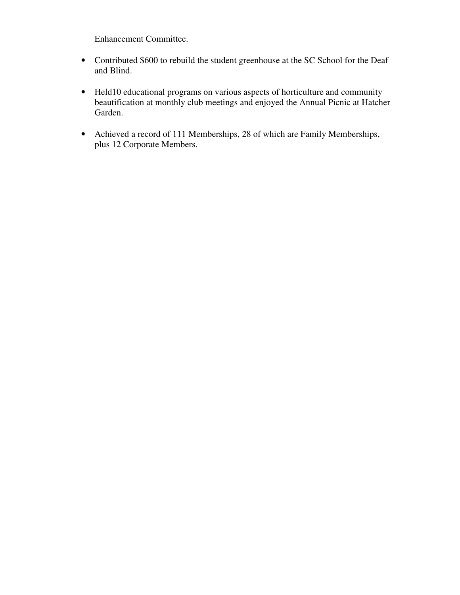Enhancement Committee.

- Contributed \$600 to rebuild the student greenhouse at the SC School for the Deaf and Blind.
- Held10 educational programs on various aspects of horticulture and community beautification at monthly club meetings and enjoyed the Annual Picnic at Hatcher Garden.
- Achieved a record of 111 Memberships, 28 of which are Family Memberships, plus 12 Corporate Members.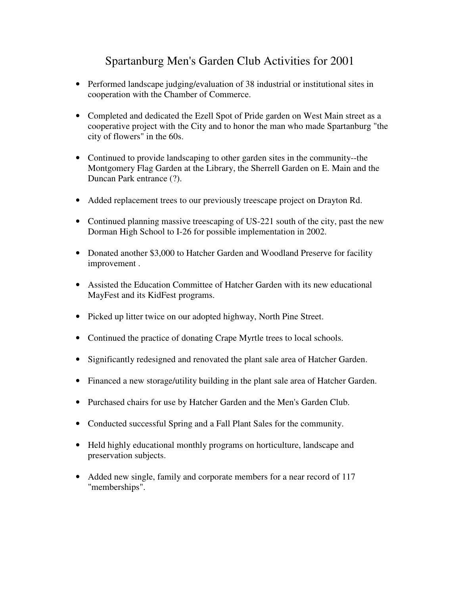# Spartanburg Men's Garden Club Activities for 2001

- Performed landscape judging/evaluation of 38 industrial or institutional sites in cooperation with the Chamber of Commerce.
- Completed and dedicated the Ezell Spot of Pride garden on West Main street as a cooperative project with the City and to honor the man who made Spartanburg "the city of flowers" in the 60s.
- Continued to provide landscaping to other garden sites in the community--the Montgomery Flag Garden at the Library, the Sherrell Garden on E. Main and the Duncan Park entrance (?).
- Added replacement trees to our previously treescape project on Drayton Rd.
- Continued planning massive treescaping of US-221 south of the city, past the new Dorman High School to I-26 for possible implementation in 2002.
- Donated another \$3,000 to Hatcher Garden and Woodland Preserve for facility improvement .
- Assisted the Education Committee of Hatcher Garden with its new educational MayFest and its KidFest programs.
- Picked up litter twice on our adopted highway, North Pine Street.
- Continued the practice of donating Crape Myrtle trees to local schools.
- Significantly redesigned and renovated the plant sale area of Hatcher Garden.
- Financed a new storage/utility building in the plant sale area of Hatcher Garden.
- Purchased chairs for use by Hatcher Garden and the Men's Garden Club.
- Conducted successful Spring and a Fall Plant Sales for the community.
- Held highly educational monthly programs on horticulture, landscape and preservation subjects.
- Added new single, family and corporate members for a near record of 117 "memberships".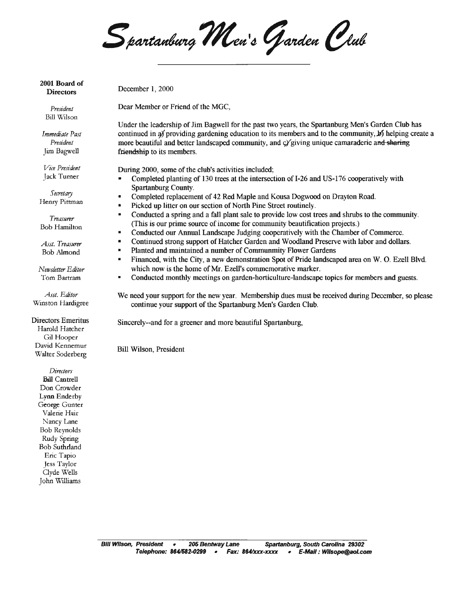Spartanburg Men's Garden Club

2001 Board of **Directors** 

President Bill Wilson

Immediate Past President Jim Bagwell

Vice President Jack Turner

Secretary Henry Pittman

Treasurer **Bob Hamilton** 

Asst. Treasurer Bob Almond

Newsletter Editor Tom Bartram

Asst. Editor Winston Hardigree

**Directors Emeritus** Harold Hatcher Gil Hooper David Kennemur Walter Soderberg

> Directors **Bill Cantrell** Don Crowder Lynn Enderby George Gunter Valene Hair Nancy Lane **Bob Reynolds** Rudy Spring **Bob Suthrland** Eric Tapio Jess Taylor Clyde Wells John Williams

December 1, 2000

Dear Member or Friend of the MGC,

Under the leadership of Jim Bagwell for the past two years, the Spartanburg Men's Garden Club has continued in a providing gardening education to its members and to the community,  $\cancel{p}$  helping create a more beautiful and better landscaped community, and cy giving unique camaraderie and sharing friendship to its members.

During 2000, some of the club's activities included;

- Completed planting of 130 trees at the intersection of I-26 and US-176 cooperatively with  $\blacksquare$ Spartanburg County.
- Completed replacement of 42 Red Maple and Kousa Dogwood on Drayton Road.
- Picked up litter on our section of North Pine Street routinely.
- Conducted a spring and a fall plant sale to provide low cost trees and shrubs to the community. (This is our prime source of income for community beautification projects.)
- Conducted our Annual Landscape Judging cooperatively with the Chamber of Commerce.
- $\blacksquare$ Continued strong support of Hatcher Garden and Woodland Preserve with labor and dollars.
- $\blacksquare$ Planted and maintained a number of Communmity Flower Gardens
- $\blacksquare$ Financed, with the City, a new demonstration Spot of Pride landscaped area on W. O. Ezell Blvd. which now is the home of Mr. Ezell's commemorative marker.
- $\blacksquare$ Conducted monthly meetings on garden-horticulture-landscape topics for members and guests.
- We need your support for the new year. Membership dues must be received during December, so please continue your support of the Spartanburg Men's Garden Club.

Sincerely--and for a greener and more beautiful Spartanburg,

**Bill Wilson, President**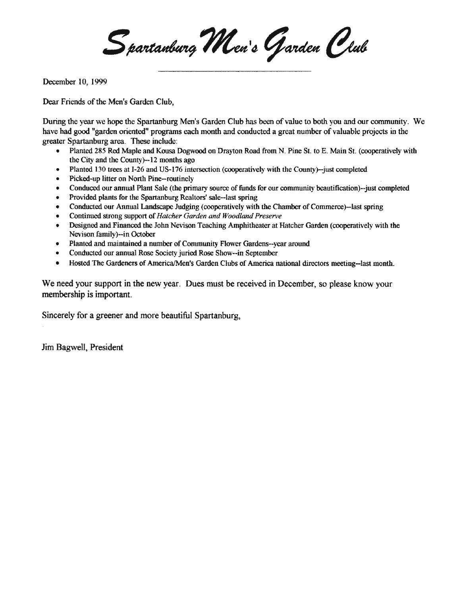Spartanburg Men's Garden Club

December 10, 1999

Dear Friends of the Men's Garden Club.

During the year we hope the Spartanburg Men's Garden Club has been of value to both you and our community. We have had good "garden oriented" programs each month and conducted a great number of valuable projects in the greater Spartanburg area. These include:

- Planted 285 Red Maple and Kousa Dogwood on Drayton Road from N. Pine St. to E. Main St. (cooperatively with the City and the County)--12 months ago
- Planted 130 trees at I-26 and US-176 intersection (cooperatively with the County)--just completed  $\bullet$
- Picked-up litter on North Pine-routinely
- Conduced our annual Plant Sale (the primary source of funds for our community beautification)--just completed
- Provided plants for the Spartanburg Realtors' sale--last spring  $\bullet$
- Conducted our Annual Landscape Judging (cooperatively with the Chamber of Commerce)-last spring  $\bullet$
- Continued strong support of Hatcher Garden and Woodland Preserve  $\bullet$
- Designed and Financed the John Nevison Teaching Amphitheater at Hatcher Garden (cooperatively with the  $\bullet$ Nevison family)--in October
- Planted and maintained a number of Community Flower Gardens--year around
- Conducted our annual Rose Society juried Rose Show--in September  $\bullet$
- Hosted The Gardeners of America/Men's Garden Clubs of America national directors meeting--last month.  $\bullet$

We need vour support in the new year. Dues must be received in December, so please know your membership is important.

Sincerely for a greener and more beautiful Spartanburg,

Jim Bagwell, President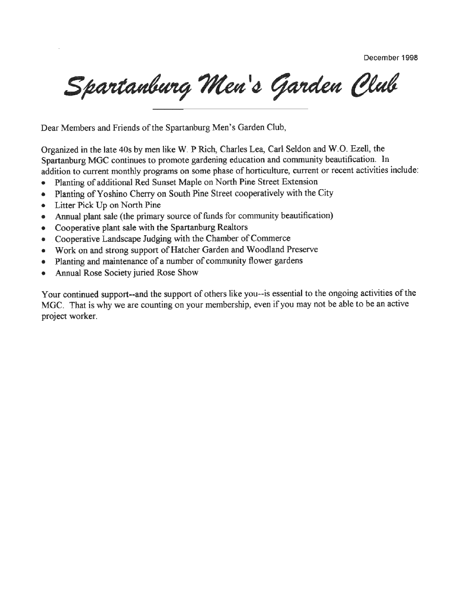December 1998

Spartanburg Men's Garden Club

Dear Members and Friends of the Spartanburg Men's Garden Club,

Organized in the late 40s by men like W. P Rich, Charles Lea, Carl Seldon and W.O. Ezell, the Spartanburg MGC continues to promote gardening education and community beautification. In addition to current monthly programs on some phase of horticulture, current or recent activities include:

- Planting of additional Red Sunset Maple on North Pine Street Extension  $\bullet$
- Planting of Yoshino Cherry on South Pine Street cooperatively with the City ۰
- Litter Pick Up on North Pine ۰
- Annual plant sale (the primary source of funds for community beautification)  $\bullet$
- Cooperative plant sale with the Spartanburg Realtors
- Cooperative Landscape Judging with the Chamber of Commerce
- Work on and strong support of Hatcher Garden and Woodland Preserve  $\bullet$
- Planting and maintenance of a number of community flower gardens  $\bullet$
- Annual Rose Society juried Rose Show  $\bullet$

Your continued support--and the support of others like you--is essential to the ongoing activities of the MGC. That is why we are counting on your membership, even if you may not be able to be an active project worker.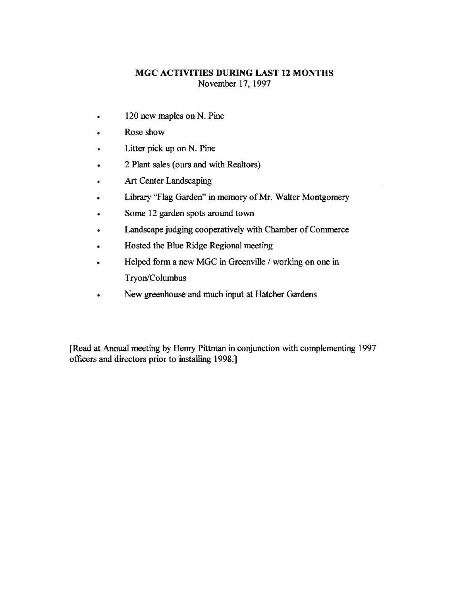#### MGC ACTIVITIES DURING LAST 12 MONTHS November 17, 1997

- 120 new maples on N. Pine  $\bullet$
- Rose show  $\bullet$
- Litter pick up on N. Pine
- 2 Plant sales (ours and with Realtors)
- Art Center Landscaping
- Library "Flag Garden" in memory of Mr. Walter Montgomery
- Some 12 garden spots around town
- Landscape judging cooperatively with Chamber of Commerce
- Hosted the Blue Ridge Regional meeting
- Helped form a new MGC in Greenville / working on one in Tryon/Columbus
- New greenhouse and much input at Hatcher Gardens

[Read at Annual meeting by Henry Pittman in conjunction with complementing 1997] officers and directors prior to installing 1998.]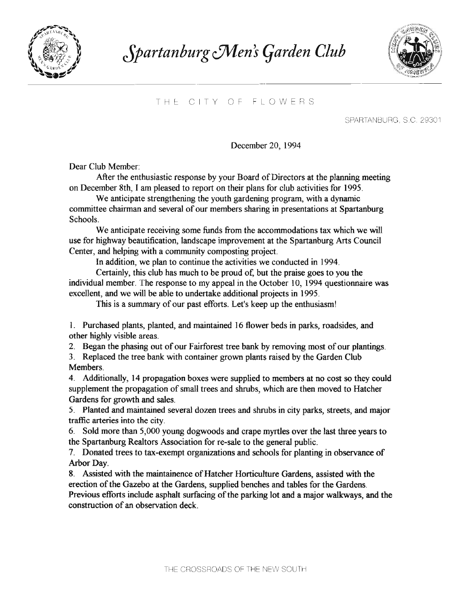

# Spartanburg Men's Garden Club



#### THE CITY OF FLOWERS

SPARTANBURG, S.C. 29301

December 20, 1994

Dear Club Member:

After the enthusiastic response by your Board of Directors at the planning meeting on December 8th, I am pleased to report on their plans for club activities for 1995.

We anticipate strengthening the youth gardening program, with a dynamic committee chairman and several of our members sharing in presentations at Spartanburg Schools.

We anticipate receiving some funds from the accommodations tax which we will use for highway beautification, landscape improvement at the Spartanburg Arts Council Center, and helping with a community composting project.

In addition, we plan to continue the activities we conducted in 1994.

Certainly, this club has much to be proud of, but the praise goes to you the individual member. The response to my appeal in the October 10, 1994 questionnaire was excellent, and we will be able to undertake additional projects in 1995.

This is a summary of our past efforts. Let's keep up the enthusiasm!

1. Purchased plants, planted, and maintained 16 flower beds in parks, roadsides, and other highly visible areas.

2. Began the phasing out of our Fairforest tree bank by removing most of our plantings.

3. Replaced the tree bank with container grown plants raised by the Garden Club **Members** 

4. Additionally, 14 propagation boxes were supplied to members at no cost so they could supplement the propagation of small trees and shrubs, which are then moved to Hatcher Gardens for growth and sales.

5. Planted and maintained several dozen trees and shrubs in city parks, streets, and major traffic arteries into the city.

6. Sold more than 5,000 young dogwoods and crape myrtles over the last three years to the Spartanburg Realtors Association for re-sale to the general public.

7. Donated trees to tax-exempt organizations and schools for planting in observance of Arbor Day.

8. Assisted with the maintainence of Hatcher Horticulture Gardens, assisted with the erection of the Gazebo at the Gardens, supplied benches and tables for the Gardens. Previous efforts include asphalt surfacing of the parking lot and a major walkways, and the construction of an observation deck.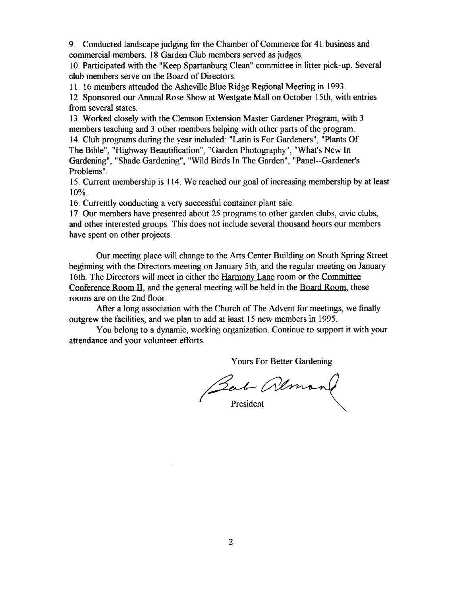9. Conducted landscape judging for the Chamber of Commerce for 41 business and commercial members. 18 Garden Club members served as judges.

10. Participated with the "Keep Spartanburg Clean" committee in litter pick-up. Several club members serve on the Board of Directors.

11. 16 members attended the Asheville Blue Ridge Regional Meeting in 1993.

12. Sponsored our Annual Rose Show at Westgate Mall on October 15th, with entries from several states.

13. Worked closely with the Clemson Extension Master Gardener Program, with 3 members teaching and 3 other members helping with other parts of the program.

14. Club programs during the year included: "Latin is For Gardeners", "Plants Of The Bible", "Highway Beautification", "Garden Photography", "What's New In Gardening", "Shade Gardening", "Wild Birds In The Garden", "Panel--Gardener's Problems".

15. Current membership is 114. We reached our goal of increasing membership by at least  $10%$ 

16. Currently conducting a very successful container plant sale.

17. Our members have presented about 25 programs to other garden clubs, civic clubs, and other interested groups. This does not include several thousand hours our members have spent on other projects.

Our meeting place will change to the Arts Center Building on South Spring Street beginning with the Directors meeting on January 5th, and the regular meeting on January 16th. The Directors will meet in either the Harmony Lane room or the Committee Conference Room II, and the general meeting will be held in the Board Room, these rooms are on the 2nd floor.

After a long association with the Church of The Advent for meetings, we finally outgrew the facilities, and we plan to add at least 15 new members in 1995.

You belong to a dynamic, working organization. Continue to support it with your attendance and your volunteer efforts.

Yours For Better Gardening

Bert Almand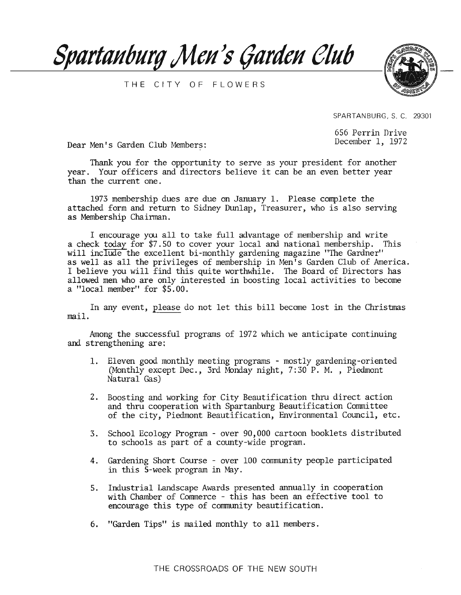

THE CITY OF FLOWERS



SPARTANBURG, S. C. 29301

656 Perrin Drive December 1, 1972

Dear Men's Garden Club Members:

Thank you for the opportunity to serve as your president for another year. Your officers and directors believe it can be an even better year than the current one.

1973 membership dues are due on January 1. Please complete the attached form and return to Sidney Dunlap, Treasurer, who is also serving as Membership Chairman.

I encourage you all to take full advantage of membership and write a check today for \$7.50 to cover your local and national membership. This will include the excellent bi-monthly gardening magazine "The Gardner" as well as all the privileges of membership in Men's Garden Club of America. I believe you will find this quite worthwhile. The Board of Directors has allowed men who are only interested in boosting local activities to become a "local member" for \$5.00.

In any event, please do not let this bill become lost in the Christmas mail.

Among the successful programs of 1972 which we anticipate continuing and strengthening are:

- 1. Eleven good monthly meeting programs mostly gardening-oriented (Monthly except Dec., 3rd Monday night, 7:30 P. M., Piedmont Natural Gas)
- 2. Boosting and working for City Beautification thru direct action and thru cooperation with Spartanburg Beautification Committee of the city, Piedmont Beautification, Environmental Council, etc.
- 3. School Ecology Program over 90,000 cartoon booklets distributed to schools as part of a county-wide program.
- 4. Gardening Short Course over 100 community people participated in this 5-week program in May.
- 5. Industrial Landscape Awards presented annually in cooperation with Chamber of Commerce - this has been an effective tool to encourage this type of community beautification.
- 6. "Garden Tips" is mailed monthly to all members.